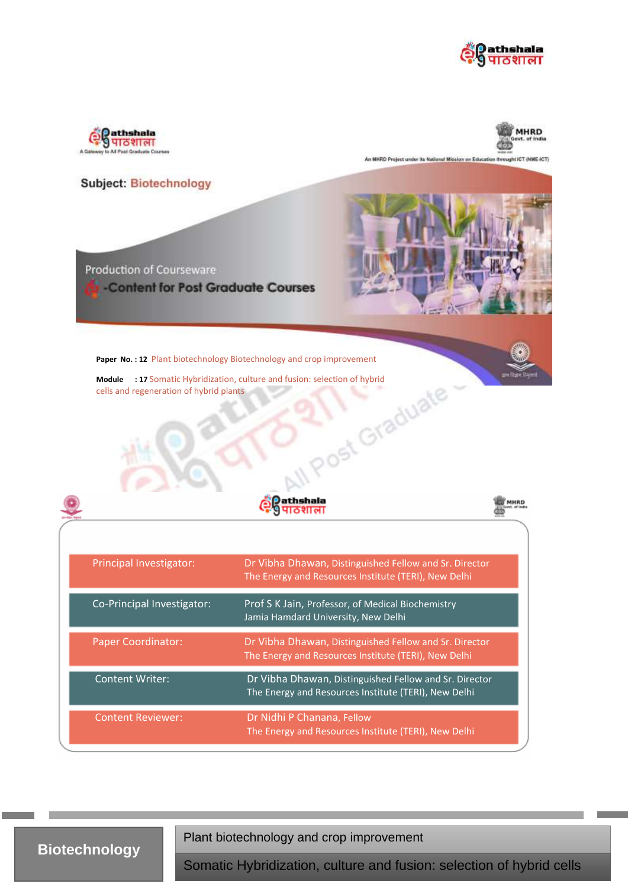



MHRD

An MHRD Project under its National Mission on Education throught ICT (NME-ICT)

### **Subject: Biotechnology**



cells and regeneration of hybrid plants





| Principal Investigator:    | Dr Vibha Dhawan, Distinguished Fellow and Sr. Director<br>The Energy and Resources Institute (TERI), New Delhi |
|----------------------------|----------------------------------------------------------------------------------------------------------------|
| Co-Principal Investigator: | Prof S K Jain, Professor, of Medical Biochemistry<br>Jamia Hamdard University, New Delhi                       |
| <b>Paper Coordinator:</b>  | Dr Vibha Dhawan, Distinguished Fellow and Sr. Director<br>The Energy and Resources Institute (TERI), New Delhi |
| <b>Content Writer:</b>     | Dr Vibha Dhawan, Distinguished Fellow and Sr. Director<br>The Energy and Resources Institute (TERI), New Delhi |
| <b>Content Reviewer:</b>   | Dr Nidhi P Chanana, Fellow<br>The Energy and Resources Institute (TERI), New Delhi                             |

# **Biotechnology**

Plant biotechnology and crop improvement

and regeneration of hybrid plants of hybrid plants of hybrid plants of hybrid plants of hybrid plants of hybri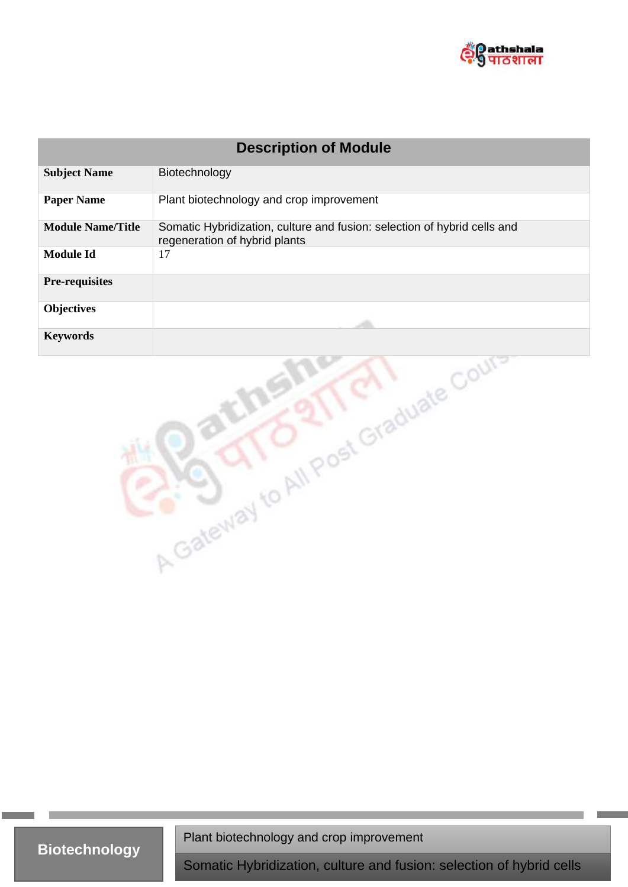

| <b>Description of Module</b>         |                                                                                                           |  |
|--------------------------------------|-----------------------------------------------------------------------------------------------------------|--|
| <b>Subject Name</b>                  | Biotechnology                                                                                             |  |
| <b>Paper Name</b>                    | Plant biotechnology and crop improvement                                                                  |  |
| <b>Module Name/Title</b>             | Somatic Hybridization, culture and fusion: selection of hybrid cells and<br>regeneration of hybrid plants |  |
| <b>Module Id</b>                     | 17                                                                                                        |  |
| <b>Pre-requisites</b>                |                                                                                                           |  |
| <b>Objectives</b>                    |                                                                                                           |  |
| <b>Keywords</b>                      |                                                                                                           |  |
| A Gateway to All Post Graduate Court |                                                                                                           |  |

Plant biotechnology and crop improvement

and regeneration of hybrid plants of hybrid plants of hybrid plants of hybrid plants of hybrid plants of hybri

**Biotechnology**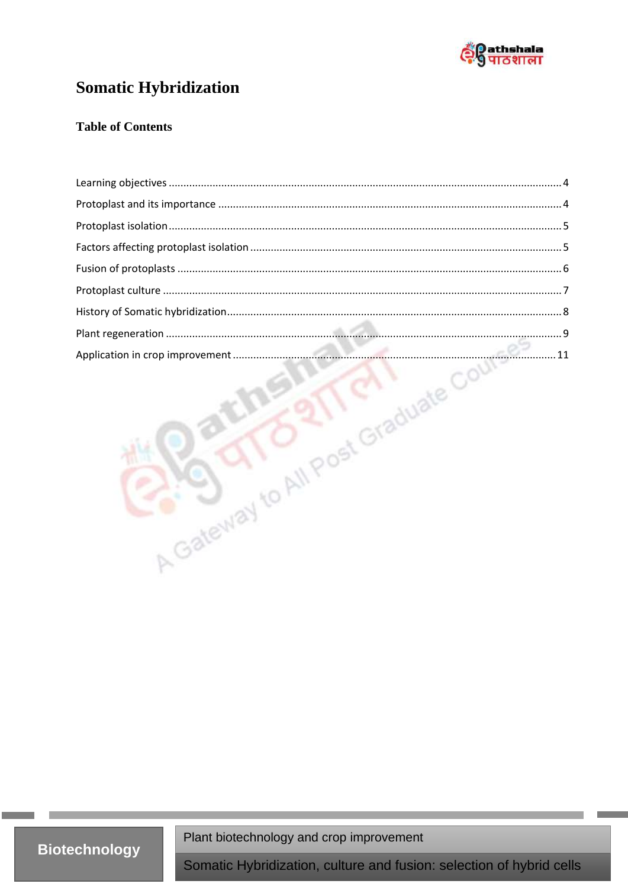

# **Somatic Hybridization**

### **Table of Contents**

| Application in crop improvement |  |
|---------------------------------|--|

Plant biotechnology and crop improvement

**Biotechnology**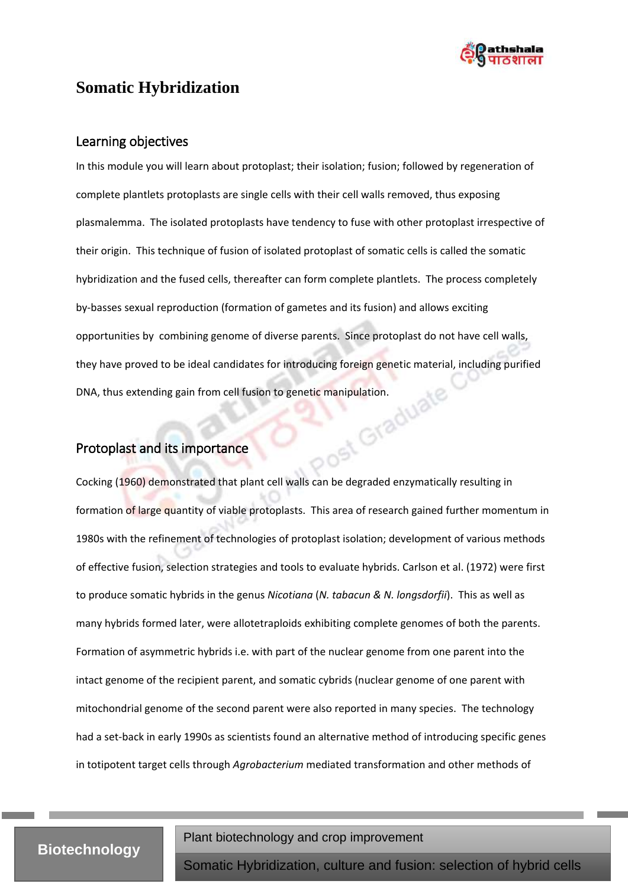

# <span id="page-3-0"></span>**Somatic Hybridization**

### Learning objectives

In this module you will learn about protoplast; their isolation; fusion; followed by regeneration of complete plantlets protoplasts are single cells with their cell walls removed, thus exposing plasmalemma. The isolated protoplasts have tendency to fuse with other protoplast irrespective of their origin. This technique of fusion of isolated protoplast of somatic cells is called the somatic hybridization and the fused cells, thereafter can form complete plantlets. The process completely by-basses sexual reproduction (formation of gametes and its fusion) and allows exciting opportunities by combining genome of diverse parents. Since protoplast do not have cell walls, they have proved to be ideal candidates for introducing foreign genetic material, including purified DNA, thus extending gain from cell fusion to genetic manipulation.<br>Protoplast and its impact

## <span id="page-3-1"></span>Protoplast and its importance

Cocking (1960) demonstrated that plant cell walls can be degraded enzymatically resulting in formation of large quantity of viable protoplasts. This area of research gained further momentum in 1980s with the refinement of technologies of protoplast isolation; development of various methods of effective fusion, selection strategies and tools to evaluate hybrids. Carlson et al. (1972) were first to produce somatic hybrids in the genus *Nicotiana* (*N. tabacun & N. longsdorfii*). This as well as many hybrids formed later, were allotetraploids exhibiting complete genomes of both the parents. Formation of asymmetric hybrids i.e. with part of the nuclear genome from one parent into the intact genome of the recipient parent, and somatic cybrids (nuclear genome of one parent with mitochondrial genome of the second parent were also reported in many species. The technology had a set-back in early 1990s as scientists found an alternative method of introducing specific genes in totipotent target cells through *Agrobacterium* mediated transformation and other methods of

# **Biotechnology**

Plant biotechnology and crop improvement

and regeneration of hybrid plants of hybrid plants of hybrid plants of hybrid plants of hybrid plants of hybri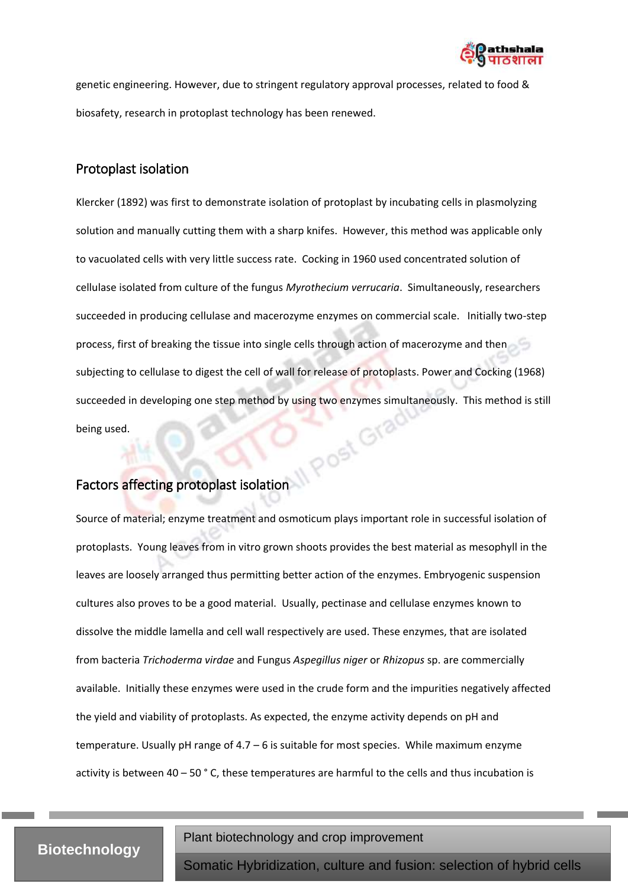

genetic engineering. However, due to stringent regulatory approval processes, related to food & biosafety, research in protoplast technology has been renewed.

### <span id="page-4-0"></span>Protoplast isolation

Klercker (1892) was first to demonstrate isolation of protoplast by incubating cells in plasmolyzing solution and manually cutting them with a sharp knifes. However, this method was applicable only to vacuolated cells with very little success rate. Cocking in 1960 used concentrated solution of cellulase isolated from culture of the fungus *Myrothecium verrucaria*. Simultaneously, researchers succeeded in producing cellulase and macerozyme enzymes on commercial scale. Initially two-step process, first of breaking the tissue into single cells through action of macerozyme and then subjecting to cellulase to digest the cell of wall for release of protoplasts. Power and Cocking (1968) succeeded in developing one step method by using two enzymes simultaneously. This method is still<br>being used.<br>Factors affinition of the state of the state of the state of the state of the state of the state of the state of being used.

# <span id="page-4-1"></span>Factors affecting protoplast isolation

Source of material; enzyme treatment and osmoticum plays important role in successful isolation of protoplasts. Young leaves from in vitro grown shoots provides the best material as mesophyll in the leaves are loosely arranged thus permitting better action of the enzymes. Embryogenic suspension cultures also proves to be a good material. Usually, pectinase and cellulase enzymes known to dissolve the middle lamella and cell wall respectively are used. These enzymes, that are isolated from bacteria *Trichoderma virdae* and Fungus *Aspegillus niger* or *Rhizopus* sp. are commercially available. Initially these enzymes were used in the crude form and the impurities negatively affected the yield and viability of protoplasts. As expected, the enzyme activity depends on pH and temperature. Usually pH range of  $4.7 - 6$  is suitable for most species. While maximum enzyme activity is between 40 – 50 ° C, these temperatures are harmful to the cells and thus incubation is

## **Biotechnology**

Plant biotechnology and crop improvement

and regeneration of hybrid plants of hybrid plants of hybrid plants of hybrid plants of hybrid plants of hybri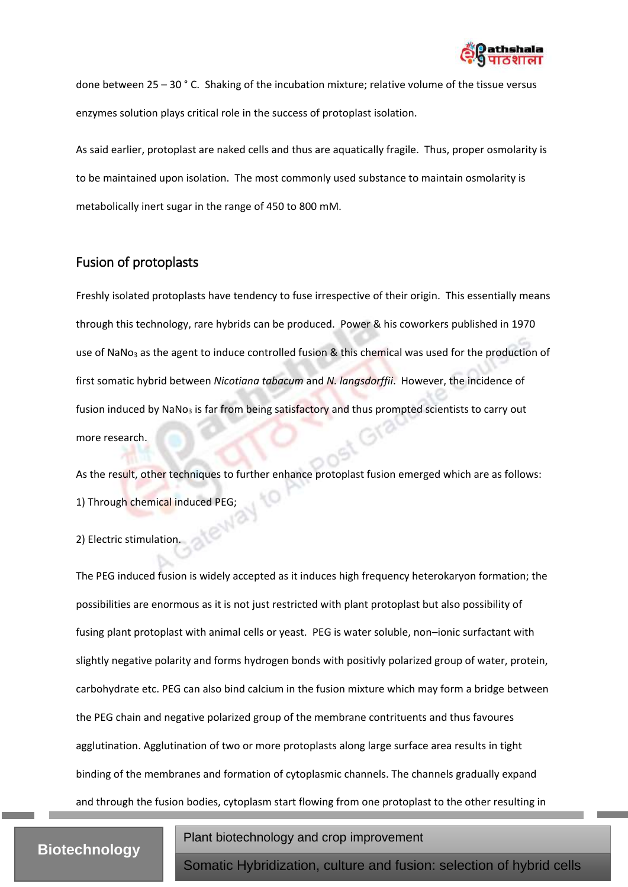

done between 25 – 30 ° C. Shaking of the incubation mixture; relative volume of the tissue versus enzymes solution plays critical role in the success of protoplast isolation.

As said earlier, protoplast are naked cells and thus are aquatically fragile. Thus, proper osmolarity is to be maintained upon isolation. The most commonly used substance to maintain osmolarity is metabolically inert sugar in the range of 450 to 800 mM.

## <span id="page-5-0"></span>Fusion of protoplasts

Freshly isolated protoplasts have tendency to fuse irrespective of their origin. This essentially means through this technology, rare hybrids can be produced. Power & his coworkers published in 1970 use of NaNo<sub>3</sub> as the agent to induce controlled fusion & this chemical was used for the production of first somatic hybrid between *Nicotiana tabacum* and *N. langsdorffii*. However, the incidence of fusion induced by NaNo<sub>3</sub> is far from being satisfactory and thus prompted scientists to carry out more research.

As the result, other techniques to further enhance protoplast fusion emerged which are as follows: 1) Through chemical induced PEG;<br>2) Electric stime

2) Electric stimulation.

The PEG induced fusion is widely accepted as it induces high frequency heterokaryon formation; the possibilities are enormous as it is not just restricted with plant protoplast but also possibility of fusing plant protoplast with animal cells or yeast. PEG is water soluble, non–ionic surfactant with slightly negative polarity and forms hydrogen bonds with positivly polarized group of water, protein, carbohydrate etc. PEG can also bind calcium in the fusion mixture which may form a bridge between the PEG chain and negative polarized group of the membrane contrituents and thus favoures agglutination. Agglutination of two or more protoplasts along large surface area results in tight binding of the membranes and formation of cytoplasmic channels. The channels gradually expand and through the fusion bodies, cytoplasm start flowing from one protoplast to the other resulting in

# **Biotechnology**

Plant biotechnology and crop improvement

and regeneration of hybrid plants of hybrid plants of hybrid plants of hybrid plants of hybrid plants of hybri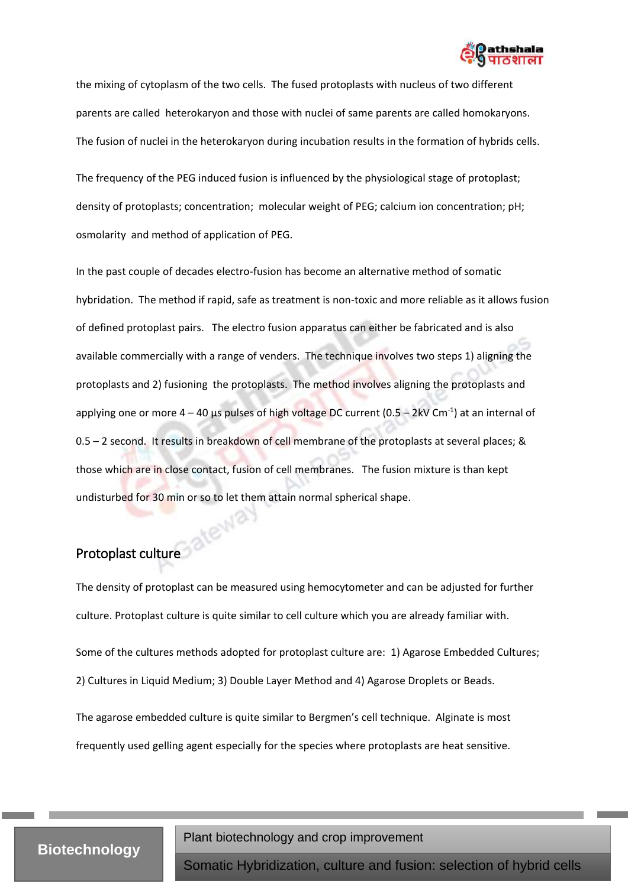

the mixing of cytoplasm of the two cells. The fused protoplasts with nucleus of two different parents are called heterokaryon and those with nuclei of same parents are called homokaryons. The fusion of nuclei in the heterokaryon during incubation results in the formation of hybrids cells.

The frequency of the PEG induced fusion is influenced by the physiological stage of protoplast; density of protoplasts; concentration; molecular weight of PEG; calcium ion concentration; pH; osmolarity and method of application of PEG.

In the past couple of decades electro-fusion has become an alternative method of somatic hybridation. The method if rapid, safe as treatment is non-toxic and more reliable as it allows fusion of defined protoplast pairs. The electro fusion apparatus can either be fabricated and is also available commercially with a range of venders. The technique involves two steps 1) aligning the protoplasts and 2) fusioning the protoplasts. The method involves aligning the protoplasts and applying one or more  $4 - 40$  µs pulses of high voltage DC current (0.5  $-$  2kV Cm<sup>-1</sup>) at an internal of 0.5 – 2 second. It results in breakdown of cell membrane of the protoplasts at several places; & those which are in close contact, fusion of cell membranes. The fusion mixture is than kept undisturbed for 30 min or so to let them attain normal spherical shape.

# <span id="page-6-0"></span>Protoplast culture

The density of protoplast can be measured using hemocytometer and can be adjusted for further culture. Protoplast culture is quite similar to cell culture which you are already familiar with. Some of the cultures methods adopted for protoplast culture are: 1) Agarose Embedded Cultures;

2) Cultures in Liquid Medium; 3) Double Layer Method and 4) Agarose Droplets or Beads.

The agarose embedded culture is quite similar to Bergmen's cell technique. Alginate is most frequently used gelling agent especially for the species where protoplasts are heat sensitive.

## **Biotechnology**

Plant biotechnology and crop improvement

and regeneration of hybrid plants of hybrid plants of hybrid plants of hybrid plants of hybrid plants of hybri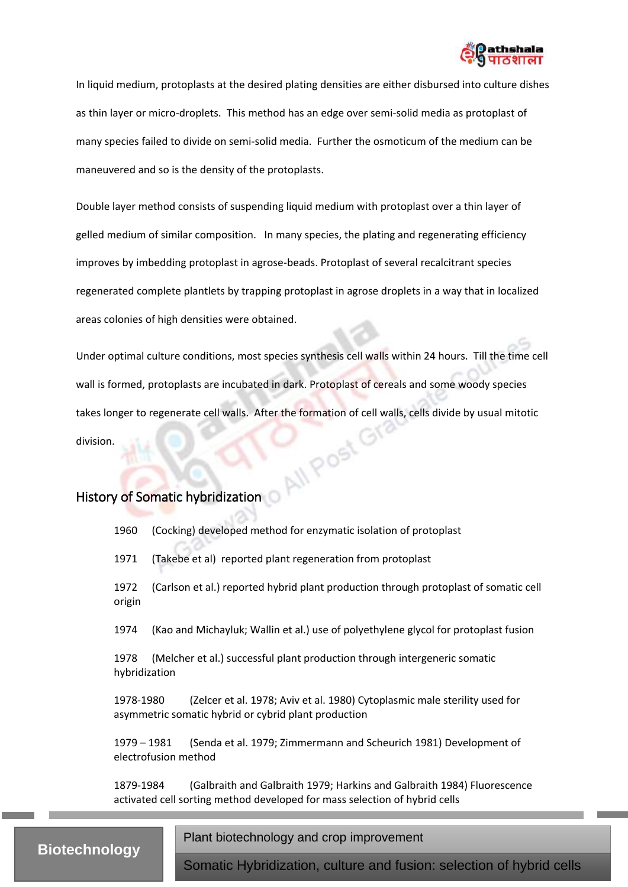

In liquid medium, protoplasts at the desired plating densities are either disbursed into culture dishes as thin layer or micro-droplets. This method has an edge over semi-solid media as protoplast of many species failed to divide on semi-solid media. Further the osmoticum of the medium can be maneuvered and so is the density of the protoplasts.

Double layer method consists of suspending liquid medium with protoplast over a thin layer of gelled medium of similar composition. In many species, the plating and regenerating efficiency improves by imbedding protoplast in agrose-beads. Protoplast of several recalcitrant species regenerated complete plantlets by trapping protoplast in agrose droplets in a way that in localized areas colonies of high densities were obtained.

Under optimal culture conditions, most species synthesis cell walls within 24 hours. Till the time cell wall is formed, protoplasts are incubated in dark. Protoplast of cereals and some woody species takes longer to regenerate cell walls. After the formation of cell walls, cells divide by usual mitotic<br>division.<br>Historia division.

## <span id="page-7-0"></span>History of Somatic hybridization

1960 (Cocking) developed method for enzymatic isolation of protoplast

1971 (Takebe et al) reported plant regeneration from protoplast

1972 (Carlson et al.) reported hybrid plant production through protoplast of somatic cell origin

1974 (Kao and Michayluk; Wallin et al.) use of polyethylene glycol for protoplast fusion

1978 (Melcher et al.) successful plant production through intergeneric somatic hybridization

1978-1980 (Zelcer et al. 1978; Aviv et al. 1980) Cytoplasmic male sterility used for asymmetric somatic hybrid or cybrid plant production

1979 – 1981 (Senda et al. 1979; Zimmermann and Scheurich 1981) Development of electrofusion method

1879-1984 (Galbraith and Galbraith 1979; Harkins and Galbraith 1984) Fluorescence activated cell sorting method developed for mass selection of hybrid cells

# **Biotechnology**

Plant biotechnology and crop improvement

and regeneration of hybrid plants of hybrid plants of hybrid plants of hybrid plants of hybrid plants of hybri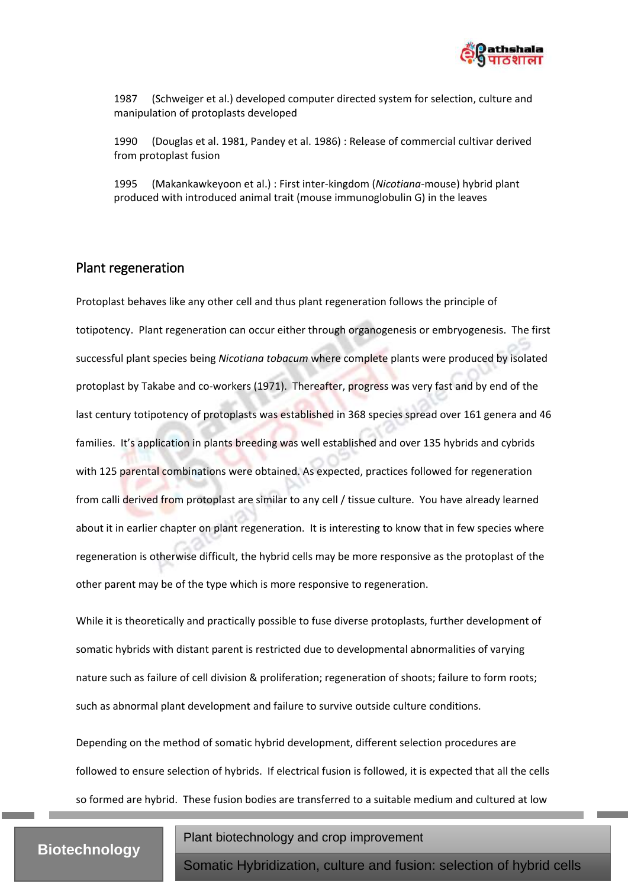

1987 (Schweiger et al.) developed computer directed system for selection, culture and manipulation of protoplasts developed

1990 (Douglas et al. 1981, Pandey et al. 1986) : Release of commercial cultivar derived from protoplast fusion

1995 (Makankawkeyoon et al.) : First inter-kingdom (*Nicotiana*-mouse) hybrid plant produced with introduced animal trait (mouse immunoglobulin G) in the leaves

#### <span id="page-8-0"></span>Plant regeneration

Protoplast behaves like any other cell and thus plant regeneration follows the principle of totipotency. Plant regeneration can occur either through organogenesis or embryogenesis. The first successful plant species being *Nicotiana tobacum* where complete plants were produced by isolated protoplast by Takabe and co-workers (1971). Thereafter, progress was very fast and by end of the last century totipotency of protoplasts was established in 368 species spread over 161 genera and 46 families. It's application in plants breeding was well established and over 135 hybrids and cybrids with 125 parental combinations were obtained. As expected, practices followed for regeneration from calli derived from protoplast are similar to any cell / tissue culture. You have already learned about it in earlier chapter on plant regeneration. It is interesting to know that in few species where regeneration is otherwise difficult, the hybrid cells may be more responsive as the protoplast of the other parent may be of the type which is more responsive to regeneration.

While it is theoretically and practically possible to fuse diverse protoplasts, further development of somatic hybrids with distant parent is restricted due to developmental abnormalities of varying nature such as failure of cell division & proliferation; regeneration of shoots; failure to form roots; such as abnormal plant development and failure to survive outside culture conditions.

Depending on the method of somatic hybrid development, different selection procedures are followed to ensure selection of hybrids. If electrical fusion is followed, it is expected that all the cells so formed are hybrid. These fusion bodies are transferred to a suitable medium and cultured at low

# **Biotechnology**

Plant biotechnology and crop improvement

and regeneration of hybrid plants of hybrid plants of hybrid plants of hybrid plants of hybrid plants of hybri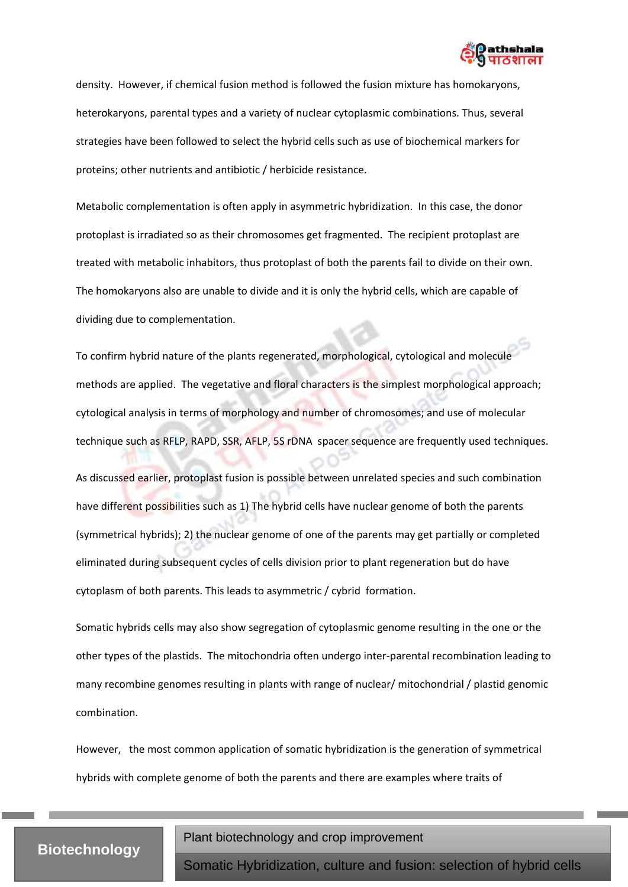

density. However, if chemical fusion method is followed the fusion mixture has homokaryons, heterokaryons, parental types and a variety of nuclear cytoplasmic combinations. Thus, several strategies have been followed to select the hybrid cells such as use of biochemical markers for proteins; other nutrients and antibiotic / herbicide resistance.

Metabolic complementation is often apply in asymmetric hybridization. In this case, the donor protoplast is irradiated so as their chromosomes get fragmented. The recipient protoplast are treated with metabolic inhabitors, thus protoplast of both the parents fail to divide on their own. The homokaryons also are unable to divide and it is only the hybrid cells, which are capable of dividing due to complementation.

To confirm hybrid nature of the plants regenerated, morphological, cytological and molecule methods are applied. The vegetative and floral characters is the simplest morphological approach; cytological analysis in terms of morphology and number of chromosomes; and use of molecular technique such as RFLP, RAPD, SSR, AFLP, 5S rDNA spacer sequence are frequently used techniques.

As discussed earlier, protoplast fusion is possible between unrelated species and such combination have different possibilities such as 1) The hybrid cells have nuclear genome of both the parents (symmetrical hybrids); 2) the nuclear genome of one of the parents may get partially or completed eliminated during subsequent cycles of cells division prior to plant regeneration but do have cytoplasm of both parents. This leads to asymmetric / cybrid formation.

Somatic hybrids cells may also show segregation of cytoplasmic genome resulting in the one or the other types of the plastids. The mitochondria often undergo inter-parental recombination leading to many recombine genomes resulting in plants with range of nuclear/ mitochondrial / plastid genomic combination.

However, the most common application of somatic hybridization is the generation of symmetrical hybrids with complete genome of both the parents and there are examples where traits of

## **Biotechnology**

Plant biotechnology and crop improvement

and regeneration of hybrid plants of hybrid plants of hybrid plants of hybrid plants of hybrid plants of hybri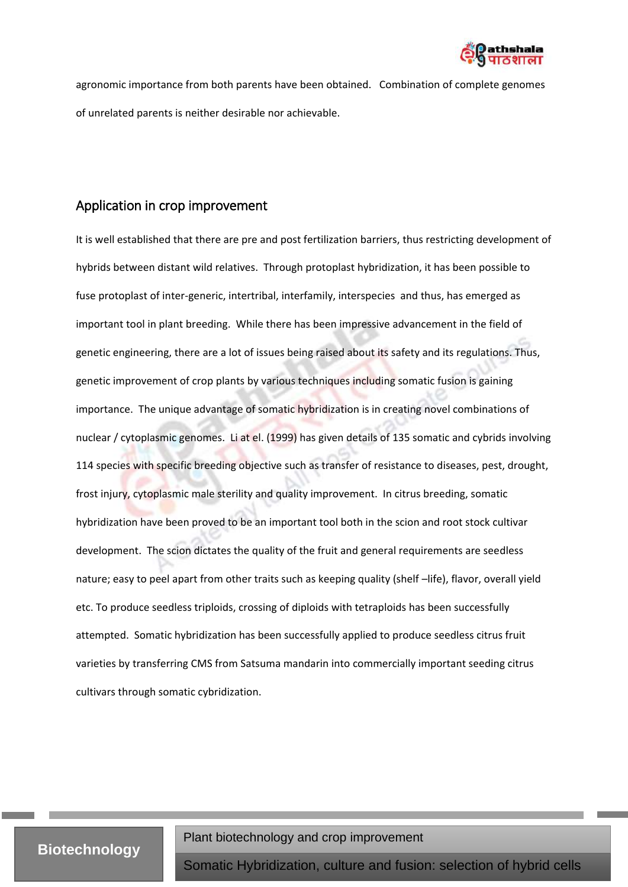

agronomic importance from both parents have been obtained. Combination of complete genomes of unrelated parents is neither desirable nor achievable.

### <span id="page-10-0"></span>Application in crop improvement

It is well established that there are pre and post fertilization barriers, thus restricting development of hybrids between distant wild relatives. Through protoplast hybridization, it has been possible to fuse protoplast of inter-generic, intertribal, interfamily, interspecies and thus, has emerged as important tool in plant breeding. While there has been impressive advancement in the field of genetic engineering, there are a lot of issues being raised about its safety and its regulations. Thus, genetic improvement of crop plants by various techniques including somatic fusion is gaining importance. The unique advantage of somatic hybridization is in creating novel combinations of nuclear / cytoplasmic genomes. Li at el. (1999) has given details of 135 somatic and cybrids involving 114 species with specific breeding objective such as transfer of resistance to diseases, pest, drought, frost injury, cytoplasmic male sterility and quality improvement. In citrus breeding, somatic hybridization have been proved to be an important tool both in the scion and root stock cultivar development. The scion dictates the quality of the fruit and general requirements are seedless nature; easy to peel apart from other traits such as keeping quality (shelf –life), flavor, overall yield etc. To produce seedless triploids, crossing of diploids with tetraploids has been successfully attempted. Somatic hybridization has been successfully applied to produce seedless citrus fruit varieties by transferring CMS from Satsuma mandarin into commercially important seeding citrus cultivars through somatic cybridization.

### Plant biotechnology and crop improvement

and regeneration of hybrid plants of hybrid plants of hybrid plants of hybrid plants of hybrid plants of hybri

**Biotechnology**